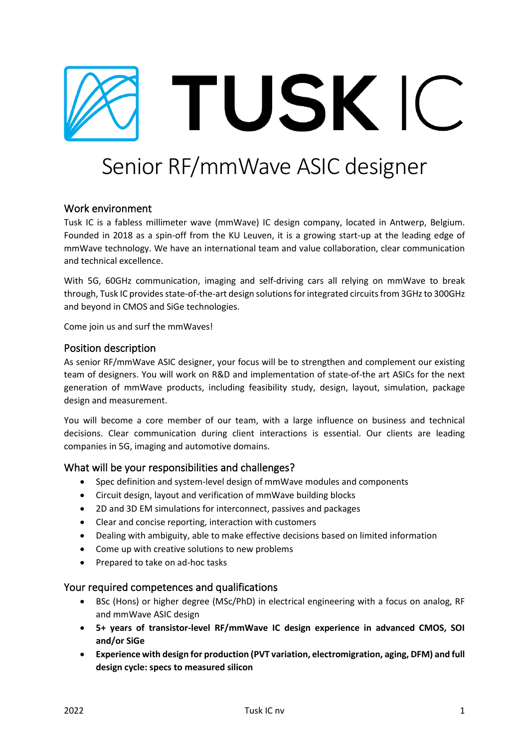

# Senior RF/mmWave ASIC designer

## Work environment

Tusk IC is a fabless millimeter wave (mmWave) IC design company, located in Antwerp, Belgium. Founded in 2018 as a spin-off from the KU Leuven, it is a growing start-up at the leading edge of mmWave technology. We have an international team and value collaboration, clear communication and technical excellence.

With 5G, 60GHz communication, imaging and self-driving cars all relying on mmWave to break through, Tusk IC provides state-of-the-art design solutionsfor integrated circuits from 3GHz to 300GHz and beyond in CMOS and SiGe technologies.

Come join us and surf the mmWaves!

#### Position description

As senior RF/mmWave ASIC designer, your focus will be to strengthen and complement our existing team of designers. You will work on R&D and implementation of state-of-the art ASICs for the next generation of mmWave products, including feasibility study, design, layout, simulation, package design and measurement.

You will become a core member of our team, with a large influence on business and technical decisions. Clear communication during client interactions is essential. Our clients are leading companies in 5G, imaging and automotive domains.

#### What will be your responsibilities and challenges?

- Spec definition and system-level design of mmWave modules and components
- Circuit design, layout and verification of mmWave building blocks
- 2D and 3D EM simulations for interconnect, passives and packages
- Clear and concise reporting, interaction with customers
- Dealing with ambiguity, able to make effective decisions based on limited information
- Come up with creative solutions to new problems
- Prepared to take on ad-hoc tasks

## Your required competences and qualifications

- BSc (Hons) or higher degree (MSc/PhD) in electrical engineering with a focus on analog, RF and mmWave ASIC design
- **5+ years of transistor-level RF/mmWave IC design experience in advanced CMOS, SOI and/or SiGe**
- **Experience with design for production (PVT variation, electromigration, aging, DFM) and full design cycle: specs to measured silicon**